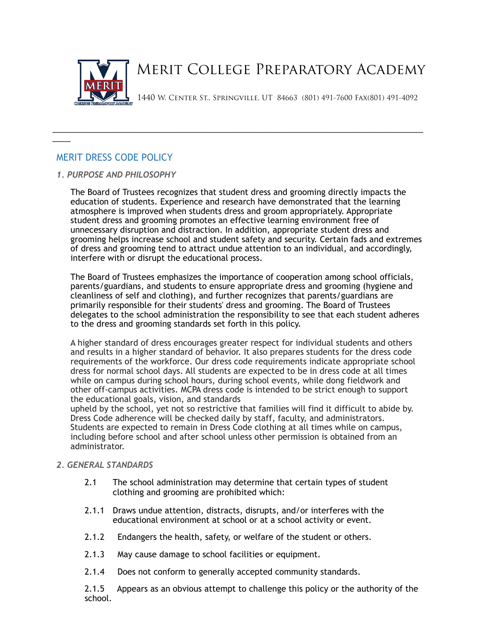

\_\_\_\_\_\_\_\_\_\_\_\_\_\_\_\_\_\_\_\_\_\_\_\_\_\_\_\_\_\_\_\_\_\_\_\_\_\_\_\_\_\_\_\_\_\_\_\_\_\_\_\_\_\_\_\_\_\_\_\_\_\_\_\_\_\_\_\_\_\_\_\_\_\_\_\_\_\_\_\_\_\_

# MERIT DRESS CODE POLICY

 $\overline{\phantom{a}}$ 

## *1. PURPOSE AND PHILOSOPHY*

The Board of Trustees recognizes that student dress and grooming directly impacts the education of students. Experience and research have demonstrated that the learning atmosphere is improved when students dress and groom appropriately. Appropriate student dress and grooming promotes an effective learning environment free of unnecessary disruption and distraction. In addition, appropriate student dress and grooming helps increase school and student safety and security. Certain fads and extremes of dress and grooming tend to attract undue attention to an individual, and accordingly, interfere with or disrupt the educational process.

The Board of Trustees emphasizes the importance of cooperation among school officials, parents/guardians, and students to ensure appropriate dress and grooming (hygiene and cleanliness of self and clothing), and further recognizes that parents/guardians are primarily responsible for their students' dress and grooming. The Board of Trustees delegates to the school administration the responsibility to see that each student adheres to the dress and grooming standards set forth in this policy.

A higher standard of dress encourages greater respect for individual students and others and results in a higher standard of behavior. It also prepares students for the dress code requirements of the workforce. Our dress code requirements indicate appropriate school dress for normal school days. All students are expected to be in dress code at all times while on campus during school hours, during school events, while dong fieldwork and other off-campus activities. MCPA dress code is intended to be strict enough to support the educational goals, vision, and standards

upheld by the school, yet not so restrictive that families will find it difficult to abide by. Dress Code adherence will be checked daily by staff, faculty, and administrators. Students are expected to remain in Dress Code clothing at all times while on campus, including before school and after school unless other permission is obtained from an administrator.

## *2. GENERAL STANDARDS*

- 2.1 The school administration may determine that certain types of student clothing and grooming are prohibited which:
- 2.1.1 Draws undue attention, distracts, disrupts, and/or interferes with the educational environment at school or at a school activity or event.
- 2.1.2 Endangers the health, safety, or welfare of the student or others.
- 2.1.3 May cause damage to school facilities or equipment.
- 2.1.4 Does not conform to generally accepted community standards.

2.1.5 Appears as an obvious attempt to challenge this policy or the authority of the school.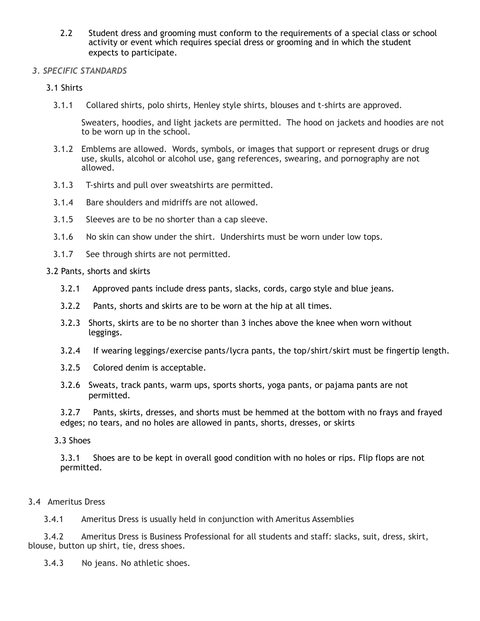2.2 Student dress and grooming must conform to the requirements of a special class or school activity or event which requires special dress or grooming and in which the student expects to participate.

# *3. SPECIFIC STANDARDS*

3.1 Shirts

3.1.1 Collared shirts, polo shirts, Henley style shirts, blouses and t-shirts are approved.

Sweaters, hoodies, and light jackets are permitted. The hood on jackets and hoodies are not to be worn up in the school.

- 3.1.2 Emblems are allowed. Words, symbols, or images that support or represent drugs or drug use, skulls, alcohol or alcohol use, gang references, swearing, and pornography are not allowed.
- 3.1.3 T-shirts and pull over sweatshirts are permitted.
- 3.1.4 Bare shoulders and midriffs are not allowed.
- 3.1.5 Sleeves are to be no shorter than a cap sleeve.
- 3.1.6 No skin can show under the shirt. Undershirts must be worn under low tops.
- 3.1.7 See through shirts are not permitted.

3.2 Pants, shorts and skirts

- 3.2.1 Approved pants include dress pants, slacks, cords, cargo style and blue jeans.
- 3.2.2 Pants, shorts and skirts are to be worn at the hip at all times.
- 3.2.3 Shorts, skirts are to be no shorter than 3 inches above the knee when worn without leggings.
- 3.2.4 If wearing leggings/exercise pants/lycra pants, the top/shirt/skirt must be fingertip length.
- 3.2.5 Colored denim is acceptable.
- 3.2.6 Sweats, track pants, warm ups, sports shorts, yoga pants, or pajama pants are not permitted.

3.2.7 Pants, skirts, dresses, and shorts must be hemmed at the bottom with no frays and frayed edges; no tears, and no holes are allowed in pants, shorts, dresses, or skirts

3.3 Shoes

3.3.1 Shoes are to be kept in overall good condition with no holes or rips. Flip flops are not permitted.

# 3.4 Ameritus Dress

3.4.1 Ameritus Dress is usually held in conjunction with Ameritus Assemblies

 3.4.2 Ameritus Dress is Business Professional for all students and staff: slacks, suit, dress, skirt, blouse, button up shirt, tie, dress shoes.

3.4.3 No jeans. No athletic shoes.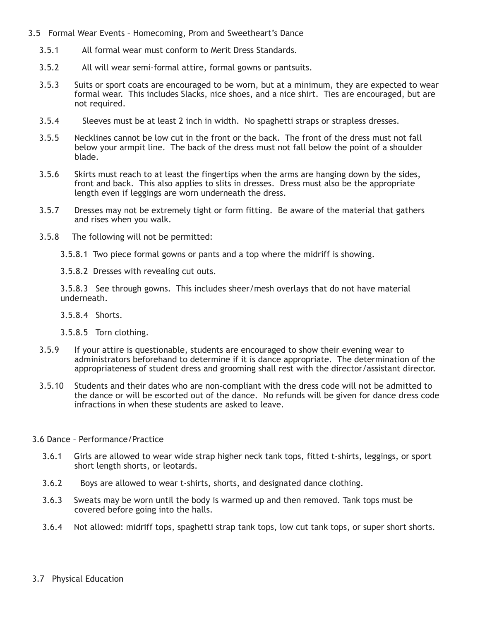- 3.5 Formal Wear Events Homecoming, Prom and Sweetheart's Dance
	- 3.5.1 All formal wear must conform to Merit Dress Standards.
	- 3.5.2 All will wear semi-formal attire, formal gowns or pantsuits.
	- 3.5.3 Suits or sport coats are encouraged to be worn, but at a minimum, they are expected to wear formal wear. This includes Slacks, nice shoes, and a nice shirt. Ties are encouraged, but are not required.
	- 3.5.4 Sleeves must be at least 2 inch in width. No spaghetti straps or strapless dresses.
	- 3.5.5 Necklines cannot be low cut in the front or the back. The front of the dress must not fall below your armpit line. The back of the dress must not fall below the point of a shoulder blade.
	- 3.5.6 Skirts must reach to at least the fingertips when the arms are hanging down by the sides, front and back. This also applies to slits in dresses. Dress must also be the appropriate length even if leggings are worn underneath the dress.
	- 3.5.7 Dresses may not be extremely tight or form fitting. Be aware of the material that gathers and rises when you walk.
	- 3.5.8 The following will not be permitted:
		- 3.5.8.1 Two piece formal gowns or pants and a top where the midriff is showing.
		- 3.5.8.2 Dresses with revealing cut outs.

3.5.8.3 See through gowns. This includes sheer/mesh overlays that do not have material underneath.

- 3.5.8.4 Shorts.
- 3.5.8.5 Torn clothing.
- 3.5.9 If your attire is questionable, students are encouraged to show their evening wear to administrators beforehand to determine if it is dance appropriate. The determination of the appropriateness of student dress and grooming shall rest with the director/assistant director.
- 3.5.10 Students and their dates who are non-compliant with the dress code will not be admitted to the dance or will be escorted out of the dance. No refunds will be given for dance dress code infractions in when these students are asked to leave.
- 3.6 Dance Performance/Practice
	- 3.6.1 Girls are allowed to wear wide strap higher neck tank tops, fitted t-shirts, leggings, or sport short length shorts, or leotards.
	- 3.6.2 Boys are allowed to wear t-shirts, shorts, and designated dance clothing.
	- 3.6.3 Sweats may be worn until the body is warmed up and then removed. Tank tops must be covered before going into the halls.
	- 3.6.4 Not allowed: midriff tops, spaghetti strap tank tops, low cut tank tops, or super short shorts.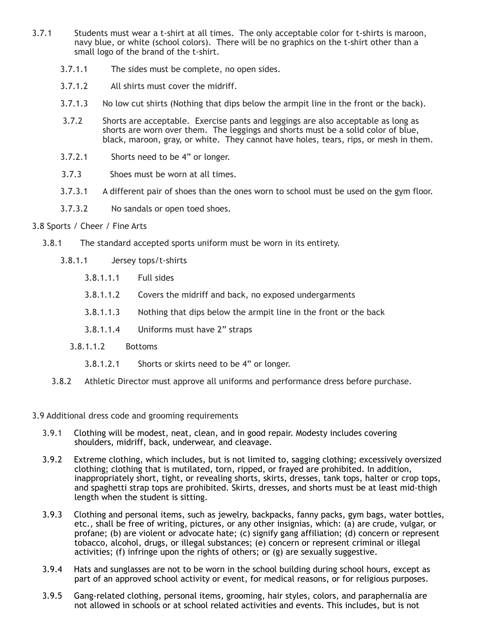- 3.7.1 Students must wear a t-shirt at all times. The only acceptable color for t-shirts is maroon, navy blue, or white (school colors). There will be no graphics on the t-shirt other than a small logo of the brand of the t-shirt.
	- 3.7.1.1 The sides must be complete, no open sides.
	- 3.7.1.2 All shirts must cover the midriff.
	- 3.7.1.3 No low cut shirts (Nothing that dips below the armpit line in the front or the back).
	- 3.7.2 Shorts are acceptable. Exercise pants and leggings are also acceptable as long as shorts are worn over them. The leggings and shorts must be a solid color of blue, black, maroon, gray, or white. They cannot have holes, tears, rips, or mesh in them.
	- 3.7.2.1 Shorts need to be 4" or longer.
	- 3.7.3 Shoes must be worn at all times.
	- 3.7.3.1 A different pair of shoes than the ones worn to school must be used on the gym floor.
	- 3.7.3.2 No sandals or open toed shoes.
- 3.8 Sports / Cheer / Fine Arts
	- 3.8.1 The standard accepted sports uniform must be worn in its entirety.
		- 3.8.1.1 Jersey tops/t-shirts
			- 3.8.1.1.1 Full sides
			- 3.8.1.1.2 Covers the midriff and back, no exposed undergarments
			- 3.8.1.1.3 Nothing that dips below the armpit line in the front or the back
			- 3.8.1.1.4 Uniforms must have 2" straps
			- 3.8.1.1.2 Bottoms
				- 3.8.1.2.1 Shorts or skirts need to be 4" or longer.
		- 3.8.2 Athletic Director must approve all uniforms and performance dress before purchase.
- 3.9 Additional dress code and grooming requirements
	- 3.9.1 Clothing will be modest, neat, clean, and in good repair. Modesty includes covering shoulders, midriff, back, underwear, and cleavage.
	- 3.9.2 Extreme clothing, which includes, but is not limited to, sagging clothing; excessively oversized clothing; clothing that is mutilated, torn, ripped, or frayed are prohibited. In addition, inappropriately short, tight, or revealing shorts, skirts, dresses, tank tops, halter or crop tops, and spaghetti strap tops are prohibited. Skirts, dresses, and shorts must be at least mid-thigh length when the student is sitting.
	- 3.9.3 Clothing and personal items, such as jewelry, backpacks, fanny packs, gym bags, water bottles, etc., shall be free of writing, pictures, or any other insignias, which: (a) are crude, vulgar, or profane; (b) are violent or advocate hate; (c) signify gang affiliation; (d) concern or represent tobacco, alcohol, drugs, or illegal substances; (e) concern or represent criminal or illegal activities; (f) infringe upon the rights of others; or (g) are sexually suggestive.
	- 3.9.4 Hats and sunglasses are not to be worn in the school building during school hours, except as part of an approved school activity or event, for medical reasons, or for religious purposes.
	- 3.9.5 Gang-related clothing, personal items, grooming, hair styles, colors, and paraphernalia are not allowed in schools or at school related activities and events. This includes, but is not